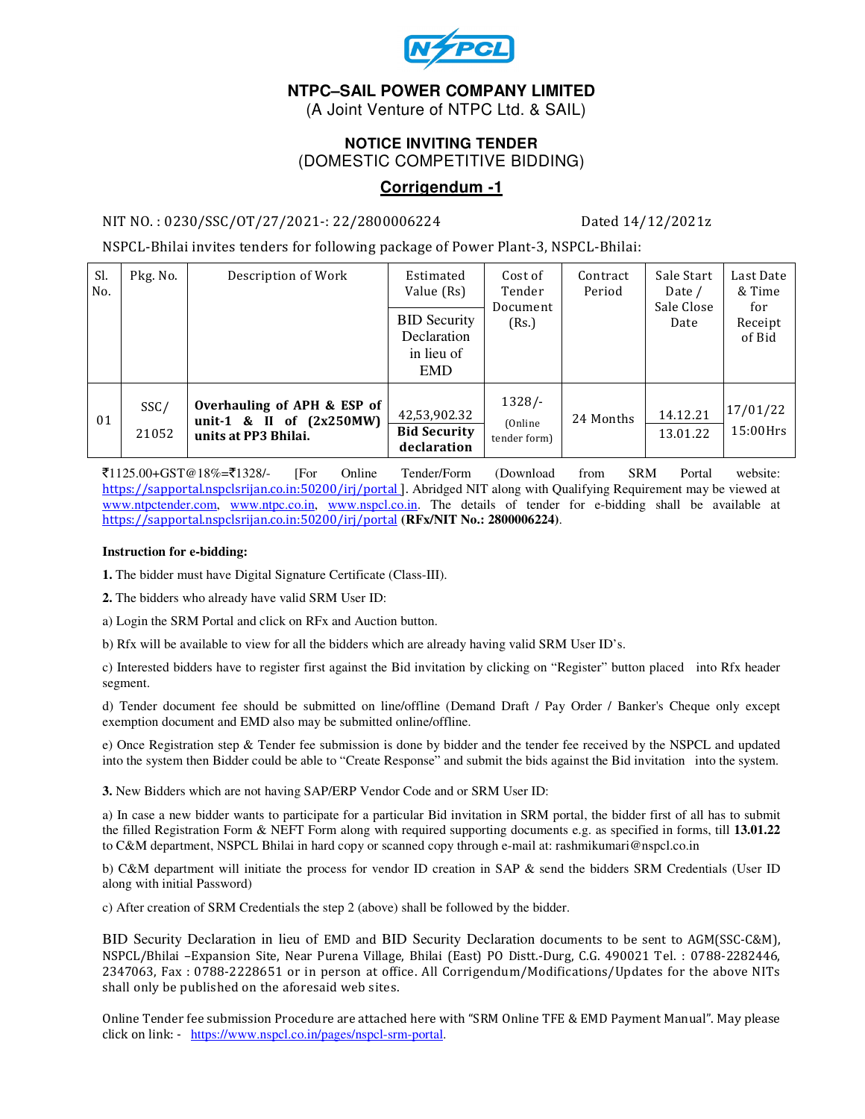

# **NTPC–SAIL POWER COMPANY LIMITED**

(A Joint Venture of NTPC Ltd. & SAIL)

## **NOTICE INVITING TENDER**  (DOMESTIC COMPETITIVE BIDDING)

## **Corrigendum -1**

#### NIT NO. : 0230/SSC/OT/27/2021-: 22/2800006224 Dated 14/12/2021z

NSPCL-Bhilai invites tenders for following package of Power Plant-3, NSPCL-Bhilai:

| Sl.<br>No. | Pkg. No.      | Description of Work                                                               | Estimated<br>Value (Rs)                                        | Cost of<br>Tender<br>Document<br>(Rs.) | Contract<br>Period | Sale Start<br>Date /<br>Sale Close<br>Date | Last Date<br>& Time<br>for<br>Receipt<br>of Bid |
|------------|---------------|-----------------------------------------------------------------------------------|----------------------------------------------------------------|----------------------------------------|--------------------|--------------------------------------------|-------------------------------------------------|
|            |               |                                                                                   | <b>BID Security</b><br>Declaration<br>in lieu of<br><b>EMD</b> |                                        |                    |                                            |                                                 |
| 01         | SSC/<br>21052 | Overhauling of APH & ESP of<br>unit-1 & II of $(2x250MW)$<br>units at PP3 Bhilai. | 42,53,902.32<br><b>Bid Security</b><br>declaration             | $1328/-$<br>(Online)<br>tender form)   | 24 Months          | 14.12.21<br>13.01.22                       | 17/01/22<br>$15:00$ Hrs                         |

`1125.00+GST@18%=`1328/- [For Online Tender/Form (Download from SRM Portal website: https://sapportal.nspclsrijan.co.in:50200/irj/portal]. Abridged NIT along with Qualifying Requirement may be viewed at www.ntpctender.com, www.ntpc.co.in, www.nspcl.co.in. The details of tender for e-bidding shall be available at https://sapportal.nspclsrijan.co.in:50200/irj/portal **(RFx/NIT No.: 2800006224)**.

#### **Instruction for e-bidding:**

**1.** The bidder must have Digital Signature Certificate (Class-III).

**2.** The bidders who already have valid SRM User ID:

a) Login the SRM Portal and click on RFx and Auction button.

b) Rfx will be available to view for all the bidders which are already having valid SRM User ID's.

c) Interested bidders have to register first against the Bid invitation by clicking on "Register" button placed into Rfx header segment.

d) Tender document fee should be submitted on line/offline (Demand Draft / Pay Order / Banker's Cheque only except exemption document and EMD also may be submitted online/offline.

e) Once Registration step & Tender fee submission is done by bidder and the tender fee received by the NSPCL and updated into the system then Bidder could be able to "Create Response" and submit the bids against the Bid invitation into the system.

**3.** New Bidders which are not having SAP/ERP Vendor Code and or SRM User ID:

a) In case a new bidder wants to participate for a particular Bid invitation in SRM portal, the bidder first of all has to submit the filled Registration Form & NEFT Form along with required supporting documents e.g. as specified in forms, till **13.01.22** to C&M department, NSPCL Bhilai in hard copy or scanned copy through e-mail at: rashmikumari@nspcl.co.in

b) C&M department will initiate the process for vendor ID creation in SAP & send the bidders SRM Credentials (User ID along with initial Password)

c) After creation of SRM Credentials the step 2 (above) shall be followed by the bidder.

BID Security Declaration in lieu of EMD and BID Security Declaration documents to be sent to AGM(SSC-C&M), NSPCL/Bhilai –Expansion Site, Near Purena Village, Bhilai (East) PO Distt.-Durg, C.G. 490021 Tel. : 0788-2282446, 2347063, Fax : 0788-2228651 or in person at office. All Corrigendum/Modifications/Updates for the above NITs shall only be published on the aforesaid web sites.

Online Tender fee submission Procedure are attached here with "SRM Online TFE & EMD Payment Manual". May please click on link: - https://www.nspcl.co.in/pages/nspcl-srm-portal.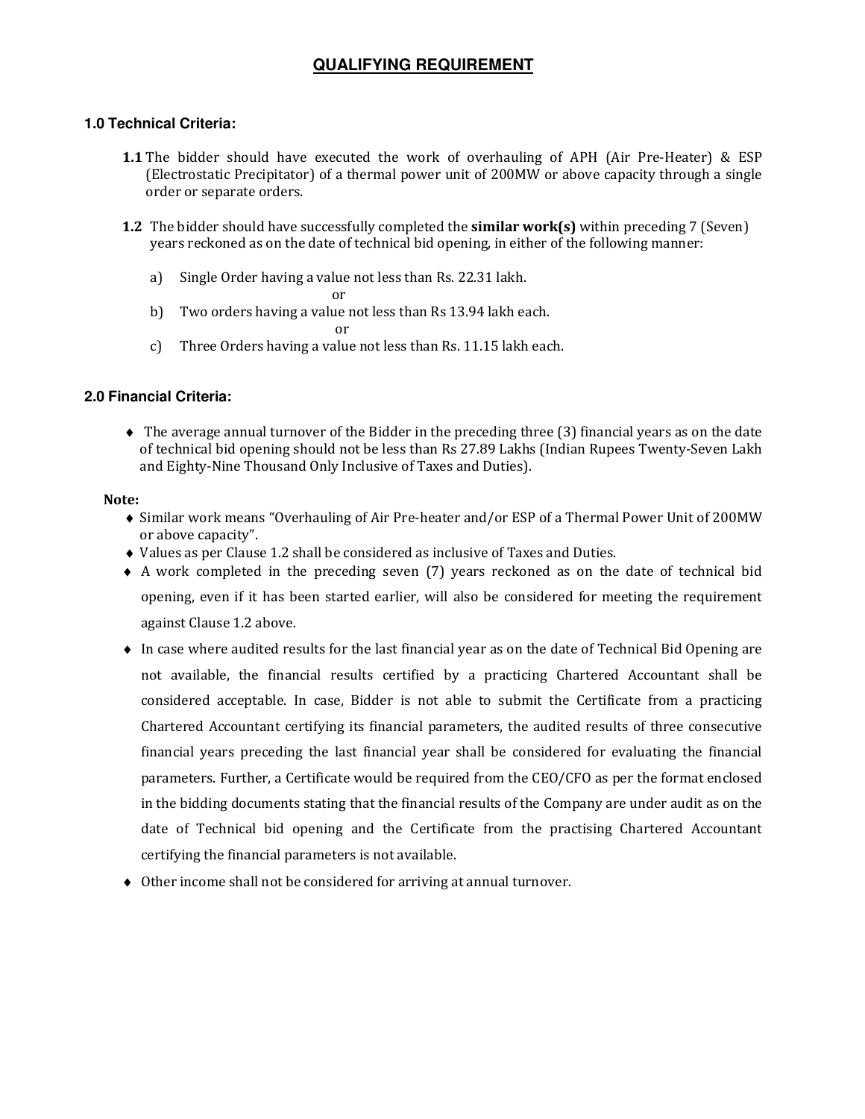# **QUALIFYING REQUIREMENT**

#### **1.0 Technical Criteria:**

- 1.1 The bidder should have executed the work of overhauling of APH (Air Pre-Heater) & ESP (Electrostatic Precipitator) of a thermal power unit of 200MW or above capacity through a single order or separate orders.
- 1.2 The bidder should have successfully completed the similar work(s) within preceding 7 (Seven) years reckoned as on the date of technical bid opening, in either of the following manner:
	- a) Single Order having a value not less than Rs. 22.31 lakh.

or

b) Two orders having a value not less than Rs 13.94 lakh each.

or

c) Three Orders having a value not less than Rs. 11.15 lakh each.

#### **2.0 Financial Criteria:**

♦ The average annual turnover of the Bidder in the preceding three (3) financial years as on the date of technical bid opening should not be less than Rs 27.89 Lakhs (Indian Rupees Twenty-Seven Lakh and Eighty-Nine Thousand Only Inclusive of Taxes and Duties).

#### Note:

- ♦ Similar work means "Overhauling of Air Pre-heater and/or ESP of a Thermal Power Unit of 200MW or above capacity".
- ♦ Values as per Clause 1.2 shall be considered as inclusive of Taxes and Duties.
- ♦ A work completed in the preceding seven (7) years reckoned as on the date of technical bid opening, even if it has been started earlier, will also be considered for meeting the requirement against Clause 1.2 above.
- ♦ In case where audited results for the last financial year as on the date of Technical Bid Opening are not available, the financial results certified by a practicing Chartered Accountant shall be considered acceptable. In case, Bidder is not able to submit the Certificate from a practicing Chartered Accountant certifying its financial parameters, the audited results of three consecutive financial years preceding the last financial year shall be considered for evaluating the financial parameters. Further, a Certificate would be required from the CEO/CFO as per the format enclosed in the bidding documents stating that the financial results of the Company are under audit as on the date of Technical bid opening and the Certificate from the practising Chartered Accountant certifying the financial parameters is not available.
- ♦ Other income shall not be considered for arriving at annual turnover.